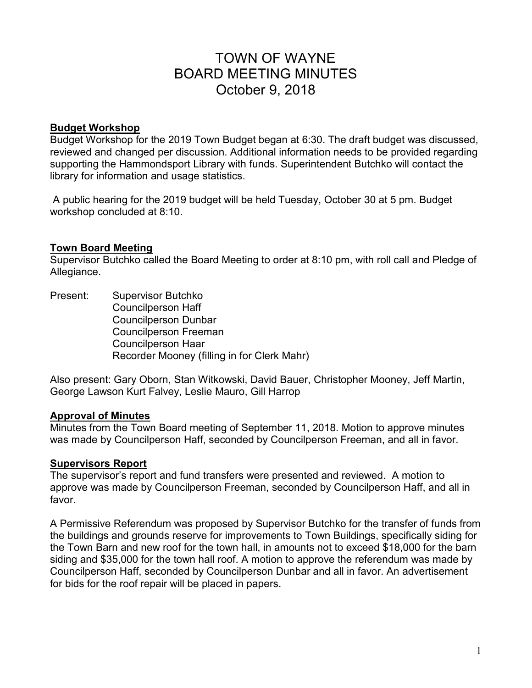# TOWN OF WAYNE BOARD MEETING MINUTES October 9, 2018

# **Budget Workshop**

Budget Workshop for the 2019 Town Budget began at 6:30. The draft budget was discussed, reviewed and changed per discussion. Additional information needs to be provided regarding supporting the Hammondsport Library with funds. Superintendent Butchko will contact the library for information and usage statistics.

 A public hearing for the 2019 budget will be held Tuesday, October 30 at 5 pm. Budget workshop concluded at 8:10.

# **Town Board Meeting**

Supervisor Butchko called the Board Meeting to order at 8:10 pm, with roll call and Pledge of Allegiance.

Present: Supervisor Butchko Councilperson Haff Councilperson Dunbar Councilperson Freeman Councilperson Haar Recorder Mooney (filling in for Clerk Mahr)

Also present: Gary Oborn, Stan Witkowski, David Bauer, Christopher Mooney, Jeff Martin, George Lawson Kurt Falvey, Leslie Mauro, Gill Harrop

# **Approval of Minutes**

Minutes from the Town Board meeting of September 11, 2018. Motion to approve minutes was made by Councilperson Haff, seconded by Councilperson Freeman, and all in favor.

# **Supervisors Report**

The supervisor's report and fund transfers were presented and reviewed. A motion to approve was made by Councilperson Freeman, seconded by Councilperson Haff, and all in favor.

A Permissive Referendum was proposed by Supervisor Butchko for the transfer of funds from the buildings and grounds reserve for improvements to Town Buildings, specifically siding for the Town Barn and new roof for the town hall, in amounts not to exceed \$18,000 for the barn siding and \$35,000 for the town hall roof. A motion to approve the referendum was made by Councilperson Haff, seconded by Councilperson Dunbar and all in favor. An advertisement for bids for the roof repair will be placed in papers.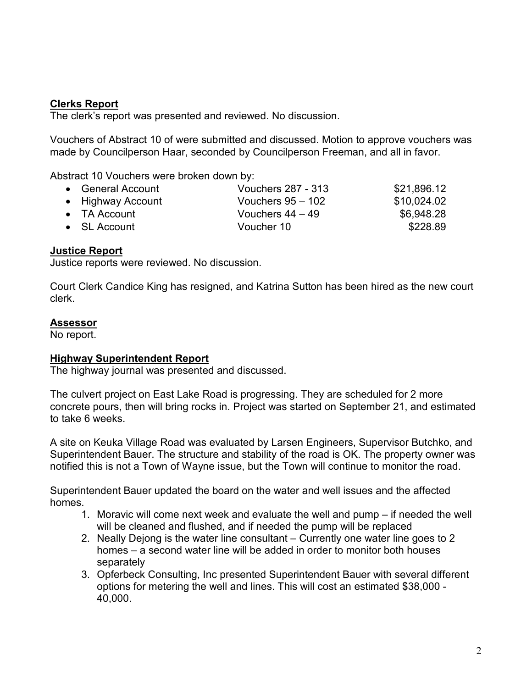# **Clerks Report**

The clerk's report was presented and reviewed. No discussion.

Vouchers of Abstract 10 of were submitted and discussed. Motion to approve vouchers was made by Councilperson Haar, seconded by Councilperson Freeman, and all in favor.

Abstract 10 Vouchers were broken down by:

| <b>Vouchers 287 - 313</b>                                                              | \$21,896.12 |
|----------------------------------------------------------------------------------------|-------------|
| Vouchers $95 - 102$                                                                    | \$10,024.02 |
| Vouchers $44 - 49$                                                                     | \$6,948.28  |
| Voucher 10                                                                             | \$228.89    |
| • General Account<br>• Highway Account<br>$\bullet$ TA Account<br>$\bullet$ SL Account |             |

# **Justice Report**

Justice reports were reviewed. No discussion.

Court Clerk Candice King has resigned, and Katrina Sutton has been hired as the new court clerk.

#### **Assessor**

No report.

# **Highway Superintendent Report**

The highway journal was presented and discussed.

The culvert project on East Lake Road is progressing. They are scheduled for 2 more concrete pours, then will bring rocks in. Project was started on September 21, and estimated to take 6 weeks.

A site on Keuka Village Road was evaluated by Larsen Engineers, Supervisor Butchko, and Superintendent Bauer. The structure and stability of the road is OK. The property owner was notified this is not a Town of Wayne issue, but the Town will continue to monitor the road.

Superintendent Bauer updated the board on the water and well issues and the affected homes.

- 1. Moravic will come next week and evaluate the well and pump if needed the well will be cleaned and flushed, and if needed the pump will be replaced
- 2. Neally Dejong is the water line consultant Currently one water line goes to 2 homes – a second water line will be added in order to monitor both houses separately
- 3. Opferbeck Consulting, Inc presented Superintendent Bauer with several different options for metering the well and lines. This will cost an estimated \$38,000 - 40,000.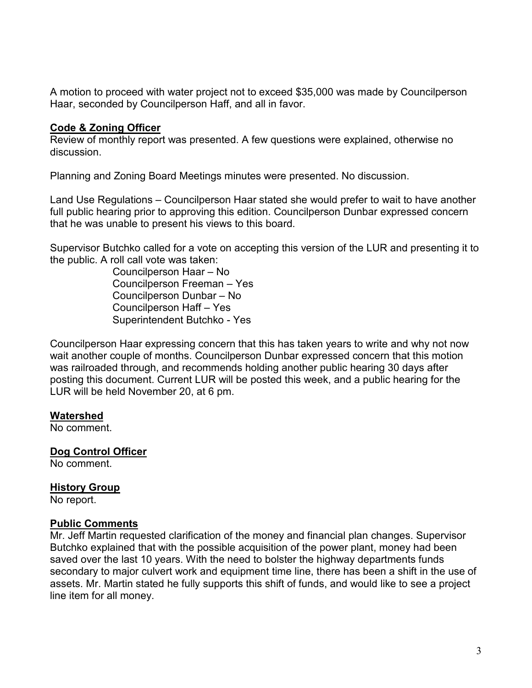A motion to proceed with water project not to exceed \$35,000 was made by Councilperson Haar, seconded by Councilperson Haff, and all in favor.

# **Code & Zoning Officer**

Review of monthly report was presented. A few questions were explained, otherwise no discussion.

Planning and Zoning Board Meetings minutes were presented. No discussion.

Land Use Regulations – Councilperson Haar stated she would prefer to wait to have another full public hearing prior to approving this edition. Councilperson Dunbar expressed concern that he was unable to present his views to this board.

Supervisor Butchko called for a vote on accepting this version of the LUR and presenting it to the public. A roll call vote was taken:

> Councilperson Haar – No Councilperson Freeman – Yes Councilperson Dunbar – No Councilperson Haff – Yes Superintendent Butchko - Yes

Councilperson Haar expressing concern that this has taken years to write and why not now wait another couple of months. Councilperson Dunbar expressed concern that this motion was railroaded through, and recommends holding another public hearing 30 days after posting this document. Current LUR will be posted this week, and a public hearing for the LUR will be held November 20, at 6 pm.

# **Watershed**

No comment.

**Dog Control Officer** 

No comment.

# **History Group**

No report.

# **Public Comments**

Mr. Jeff Martin requested clarification of the money and financial plan changes. Supervisor Butchko explained that with the possible acquisition of the power plant, money had been saved over the last 10 years. With the need to bolster the highway departments funds secondary to major culvert work and equipment time line, there has been a shift in the use of assets. Mr. Martin stated he fully supports this shift of funds, and would like to see a project line item for all money.